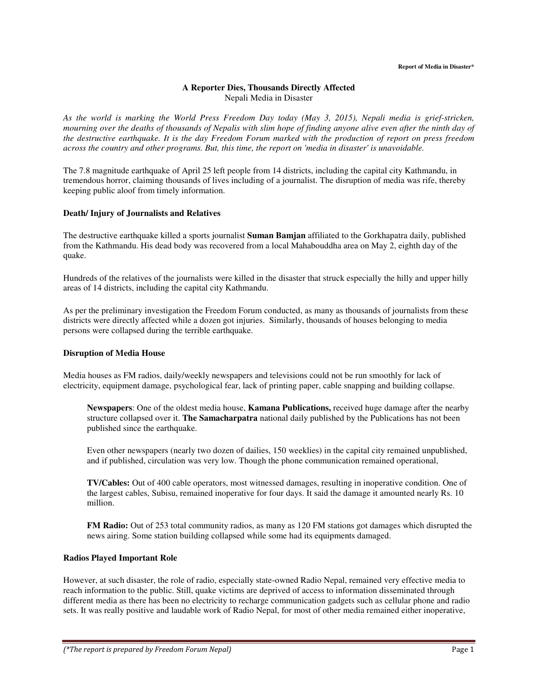## **A Reporter Dies, Thousands Directly Affected**  Nepali Media in Disaster

*As the world is marking the World Press Freedom Day today (May 3, 2015), Nepali media is grief-stricken, mourning over the deaths of thousands of Nepalis with slim hope of finding anyone alive even after the ninth day of the destructive earthquake. It is the day Freedom Forum marked with the production of report on press freedom across the country and other programs. But, this time, the report on 'media in disaster' is unavoidable.* 

The 7.8 magnitude earthquake of April 25 left people from 14 districts, including the capital city Kathmandu, in tremendous horror, claiming thousands of lives including of a journalist. The disruption of media was rife, thereby keeping public aloof from timely information.

## **Death/ Injury of Journalists and Relatives**

The destructive earthquake killed a sports journalist **Suman Bamjan** affiliated to the Gorkhapatra daily, published from the Kathmandu. His dead body was recovered from a local Mahabouddha area on May 2, eighth day of the quake.

Hundreds of the relatives of the journalists were killed in the disaster that struck especially the hilly and upper hilly areas of 14 districts, including the capital city Kathmandu.

As per the preliminary investigation the Freedom Forum conducted, as many as thousands of journalists from these districts were directly affected while a dozen got injuries. Similarly, thousands of houses belonging to media persons were collapsed during the terrible earthquake.

## **Disruption of Media House**

Media houses as FM radios, daily/weekly newspapers and televisions could not be run smoothly for lack of electricity, equipment damage, psychological fear, lack of printing paper, cable snapping and building collapse.

**Newspapers**: One of the oldest media house, **Kamana Publications,** received huge damage after the nearby structure collapsed over it. **The Samacharpatra** national daily published by the Publications has not been published since the earthquake.

Even other newspapers (nearly two dozen of dailies, 150 weeklies) in the capital city remained unpublished, and if published, circulation was very low. Though the phone communication remained operational,

**TV/Cables:** Out of 400 cable operators, most witnessed damages, resulting in inoperative condition. One of the largest cables, Subisu, remained inoperative for four days. It said the damage it amounted nearly Rs. 10 million.

**FM Radio:** Out of 253 total community radios, as many as 120 FM stations got damages which disrupted the news airing. Some station building collapsed while some had its equipments damaged.

## **Radios Played Important Role**

However, at such disaster, the role of radio, especially state-owned Radio Nepal, remained very effective media to reach information to the public. Still, quake victims are deprived of access to information disseminated through different media as there has been no electricity to recharge communication gadgets such as cellular phone and radio sets. It was really positive and laudable work of Radio Nepal, for most of other media remained either inoperative,